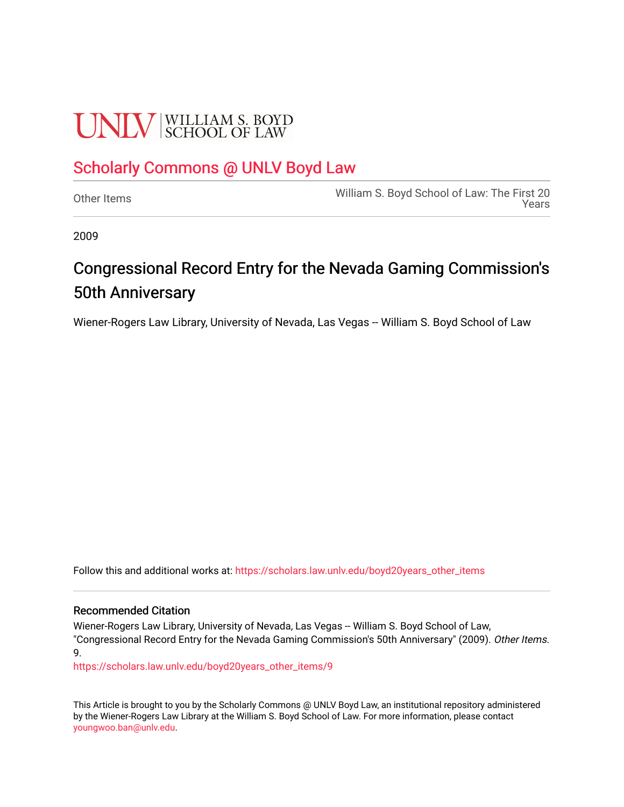## **UNLV** SCHOOL OF LAW

## [Scholarly Commons @ UNLV Boyd Law](https://scholars.law.unlv.edu/)

[Other Items](https://scholars.law.unlv.edu/boyd20years_other_items) [William S. Boyd School of Law: The First 20](https://scholars.law.unlv.edu/boyd20years)  [Years](https://scholars.law.unlv.edu/boyd20years) 

2009

## Congressional Record Entry for the Nevada Gaming Commission's 50th Anniversary

Wiener-Rogers Law Library, University of Nevada, Las Vegas -- William S. Boyd School of Law

Follow this and additional works at: [https://scholars.law.unlv.edu/boyd20years\\_other\\_items](https://scholars.law.unlv.edu/boyd20years_other_items?utm_source=scholars.law.unlv.edu%2Fboyd20years_other_items%2F9&utm_medium=PDF&utm_campaign=PDFCoverPages)

#### Recommended Citation

Wiener-Rogers Law Library, University of Nevada, Las Vegas -- William S. Boyd School of Law, "Congressional Record Entry for the Nevada Gaming Commission's 50th Anniversary" (2009). Other Items. 9.

[https://scholars.law.unlv.edu/boyd20years\\_other\\_items/9](https://scholars.law.unlv.edu/boyd20years_other_items/9?utm_source=scholars.law.unlv.edu%2Fboyd20years_other_items%2F9&utm_medium=PDF&utm_campaign=PDFCoverPages) 

This Article is brought to you by the Scholarly Commons @ UNLV Boyd Law, an institutional repository administered by the Wiener-Rogers Law Library at the William S. Boyd School of Law. For more information, please contact [youngwoo.ban@unlv.edu.](mailto:youngwoo.ban@unlv.edu)